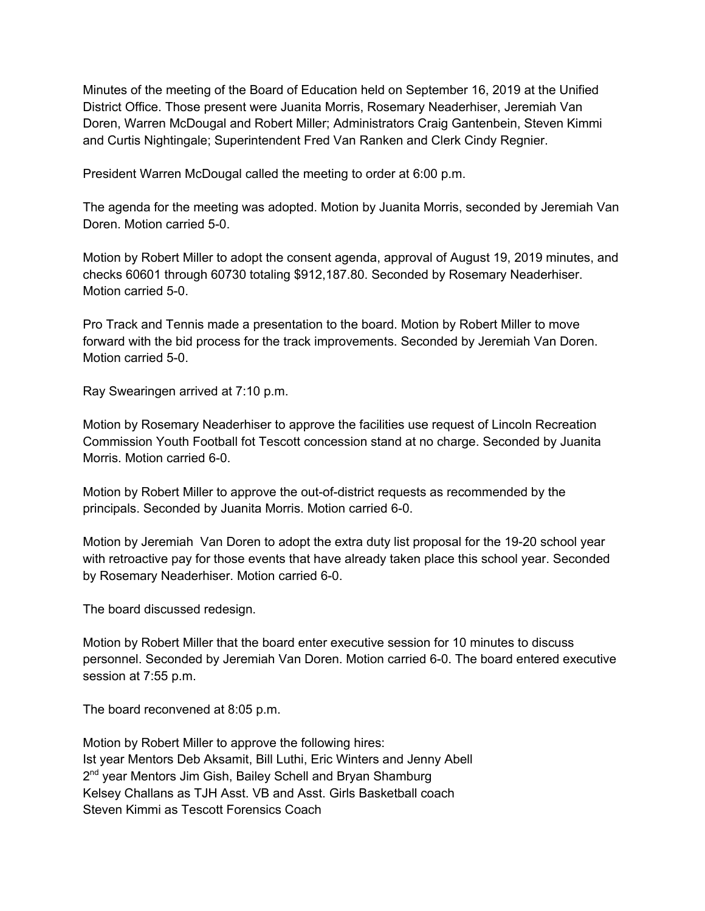Minutes of the meeting of the Board of Education held on September 16, 2019 at the Unified District Office. Those present were Juanita Morris, Rosemary Neaderhiser, Jeremiah Van Doren, Warren McDougal and Robert Miller; Administrators Craig Gantenbein, Steven Kimmi and Curtis Nightingale; Superintendent Fred Van Ranken and Clerk Cindy Regnier.

President Warren McDougal called the meeting to order at 6:00 p.m.

The agenda for the meeting was adopted. Motion by Juanita Morris, seconded by Jeremiah Van Doren. Motion carried 5-0.

Motion by Robert Miller to adopt the consent agenda, approval of August 19, 2019 minutes, and checks 60601 through 60730 totaling \$912,187.80. Seconded by Rosemary Neaderhiser. Motion carried 5-0.

Pro Track and Tennis made a presentation to the board. Motion by Robert Miller to move forward with the bid process for the track improvements. Seconded by Jeremiah Van Doren. Motion carried 5-0.

Ray Swearingen arrived at 7:10 p.m.

Motion by Rosemary Neaderhiser to approve the facilities use request of Lincoln Recreation Commission Youth Football fot Tescott concession stand at no charge. Seconded by Juanita Morris. Motion carried 6-0.

Motion by Robert Miller to approve the out-of-district requests as recommended by the principals. Seconded by Juanita Morris. Motion carried 6-0.

Motion by Jeremiah Van Doren to adopt the extra duty list proposal for the 19-20 school year with retroactive pay for those events that have already taken place this school year. Seconded by Rosemary Neaderhiser. Motion carried 6-0.

The board discussed redesign.

Motion by Robert Miller that the board enter executive session for 10 minutes to discuss personnel. Seconded by Jeremiah Van Doren. Motion carried 6-0. The board entered executive session at 7:55 p.m.

The board reconvened at 8:05 p.m.

Motion by Robert Miller to approve the following hires: Ist year Mentors Deb Aksamit, Bill Luthi, Eric Winters and Jenny Abell 2<sup>nd</sup> year Mentors Jim Gish, Bailey Schell and Bryan Shamburg Kelsey Challans as TJH Asst. VB and Asst. Girls Basketball coach Steven Kimmi as Tescott Forensics Coach